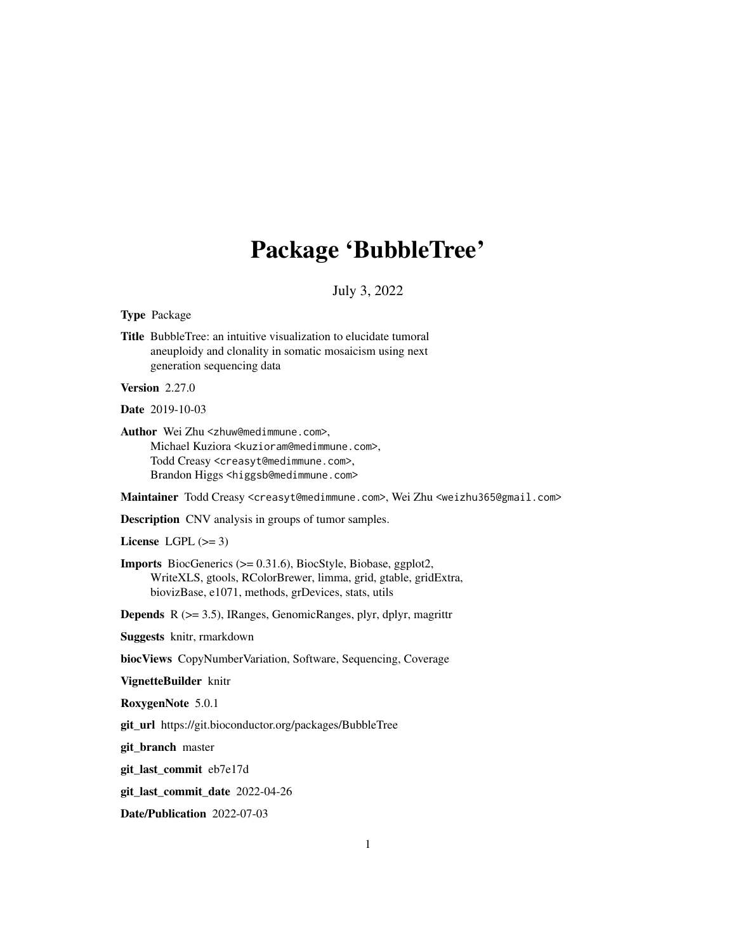# Package 'BubbleTree'

## July 3, 2022

#### Type Package

Title BubbleTree: an intuitive visualization to elucidate tumoral aneuploidy and clonality in somatic mosaicism using next generation sequencing data

Version 2.27.0

Date 2019-10-03

Author Wei Zhu <zhuw@medimmune.com>, Michael Kuziora <kuzioram@medimmune.com>, Todd Creasy <creasyt@medimmune.com>, Brandon Higgs <higgsb@medimmune.com>

Maintainer Todd Creasy <creasyt@medimmune.com>, Wei Zhu <weizhu365@gmail.com>

Description CNV analysis in groups of tumor samples.

License LGPL  $(>= 3)$ 

Imports BiocGenerics (>= 0.31.6), BiocStyle, Biobase, ggplot2, WriteXLS, gtools, RColorBrewer, limma, grid, gtable, gridExtra, biovizBase, e1071, methods, grDevices, stats, utils

Depends R (>= 3.5), IRanges, GenomicRanges, plyr, dplyr, magrittr

Suggests knitr, rmarkdown

biocViews CopyNumberVariation, Software, Sequencing, Coverage

VignetteBuilder knitr

RoxygenNote 5.0.1

git\_url https://git.bioconductor.org/packages/BubbleTree

git\_branch master

git\_last\_commit eb7e17d

git\_last\_commit\_date 2022-04-26

Date/Publication 2022-07-03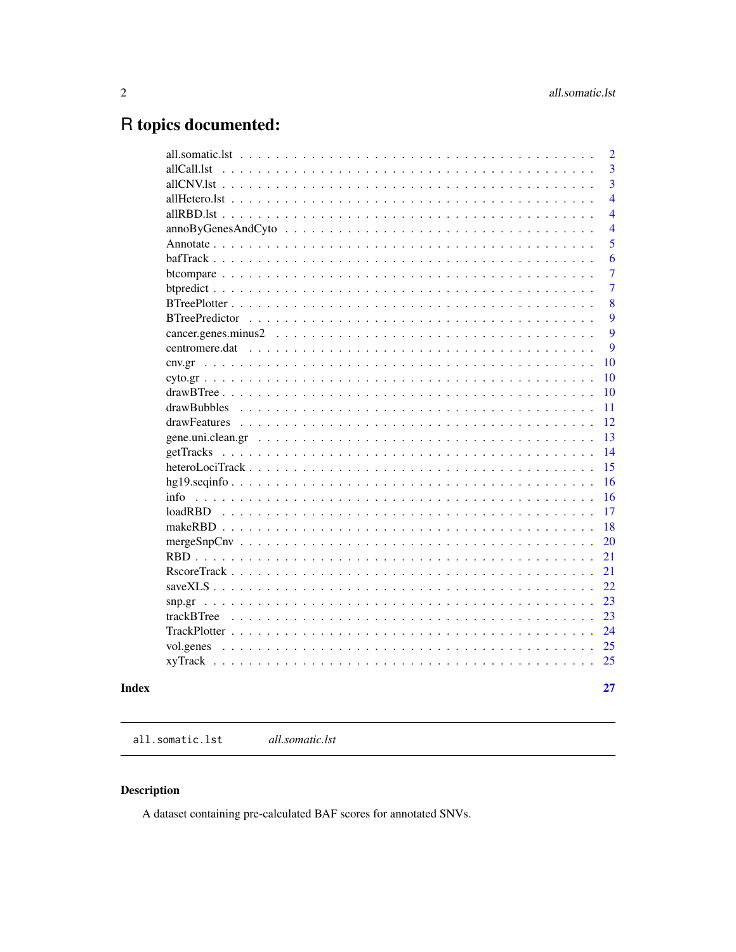# <span id="page-1-0"></span>R topics documented:

|                       | $\overline{2}$ |
|-----------------------|----------------|
| allCall.lst           | 3              |
|                       | $\overline{3}$ |
|                       | $\overline{4}$ |
|                       | $\overline{4}$ |
|                       | $\overline{4}$ |
|                       | 5              |
|                       | 6              |
|                       | $\overline{7}$ |
|                       | $\overline{7}$ |
|                       | 8              |
| <b>BTreePredictor</b> | 9              |
|                       | 9              |
| centromere.dat        | 9              |
|                       | 10             |
|                       | 10             |
|                       | 10             |
|                       | 11             |
|                       | 12             |
|                       | 13             |
| getTracks             | 14             |
|                       | 15             |
|                       | 16             |
|                       | 16             |
|                       | 17             |
|                       | 18             |
|                       | 20             |
|                       | 21             |
|                       | 21             |
|                       | 22             |
| snp.gr                | 23             |
|                       | 23             |
|                       | 24             |
| vol.genes             | 25             |
|                       | 25             |
|                       |                |
|                       | 27             |

## **Index**

all.somatic.lst  $all somatic. Ist$ 

## Description

A dataset containing pre-calculated BAF scores for annotated SNVs.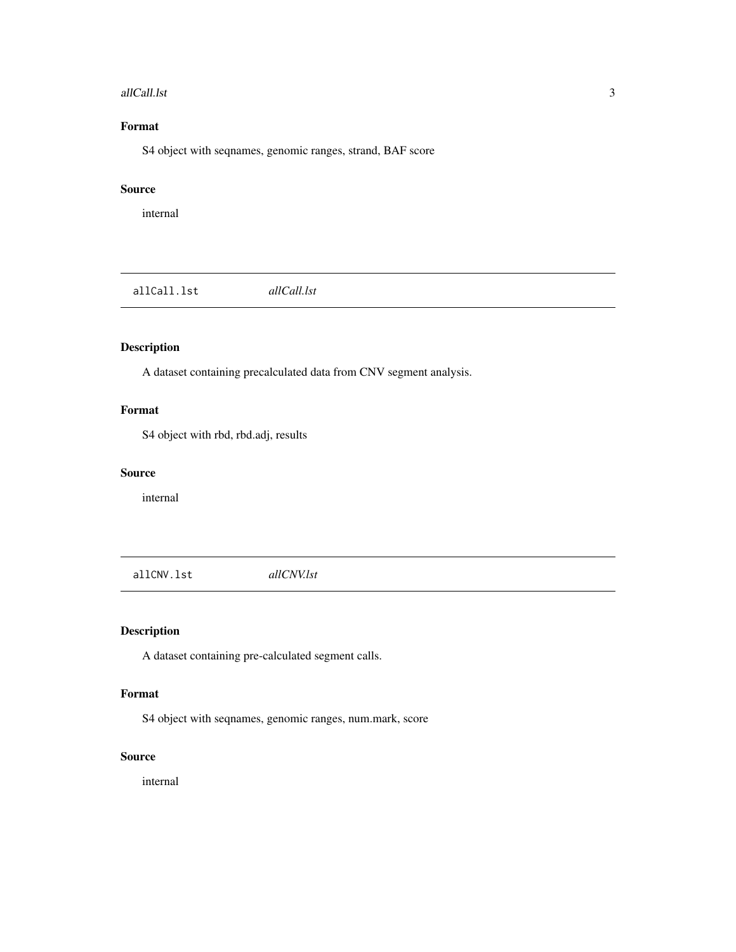#### <span id="page-2-0"></span>allCall.lst 3

### Format

S4 object with seqnames, genomic ranges, strand, BAF score

### Source

internal

allCall.lst *allCall.lst*

### Description

A dataset containing precalculated data from CNV segment analysis.

### Format

S4 object with rbd, rbd.adj, results

### Source

internal

allCNV.lst *allCNV.lst*

### Description

A dataset containing pre-calculated segment calls.

### Format

S4 object with seqnames, genomic ranges, num.mark, score

### Source

internal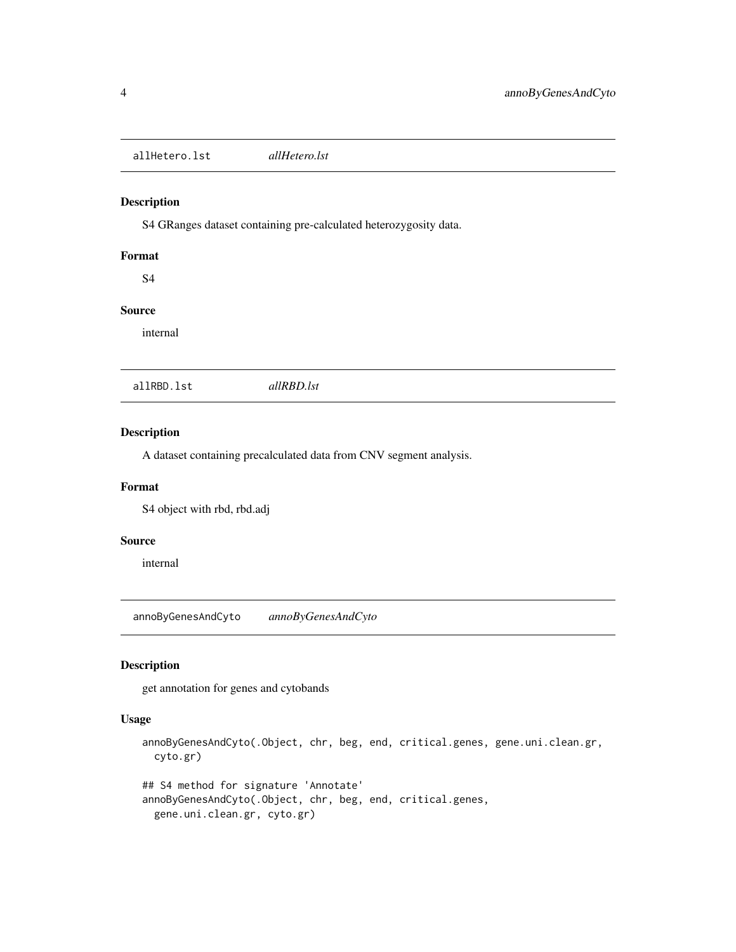<span id="page-3-0"></span>allHetero.lst *allHetero.lst*

#### Description

S4 GRanges dataset containing pre-calculated heterozygosity data.

### Format

S4

### Source

internal

allRBD.lst *allRBD.lst*

### Description

A dataset containing precalculated data from CNV segment analysis.

### Format

S4 object with rbd, rbd.adj

### Source

internal

annoByGenesAndCyto *annoByGenesAndCyto*

### Description

get annotation for genes and cytobands

#### Usage

annoByGenesAndCyto(.Object, chr, beg, end, critical.genes, gene.uni.clean.gr, cyto.gr)

```
## S4 method for signature 'Annotate'
annoByGenesAndCyto(.Object, chr, beg, end, critical.genes,
 gene.uni.clean.gr, cyto.gr)
```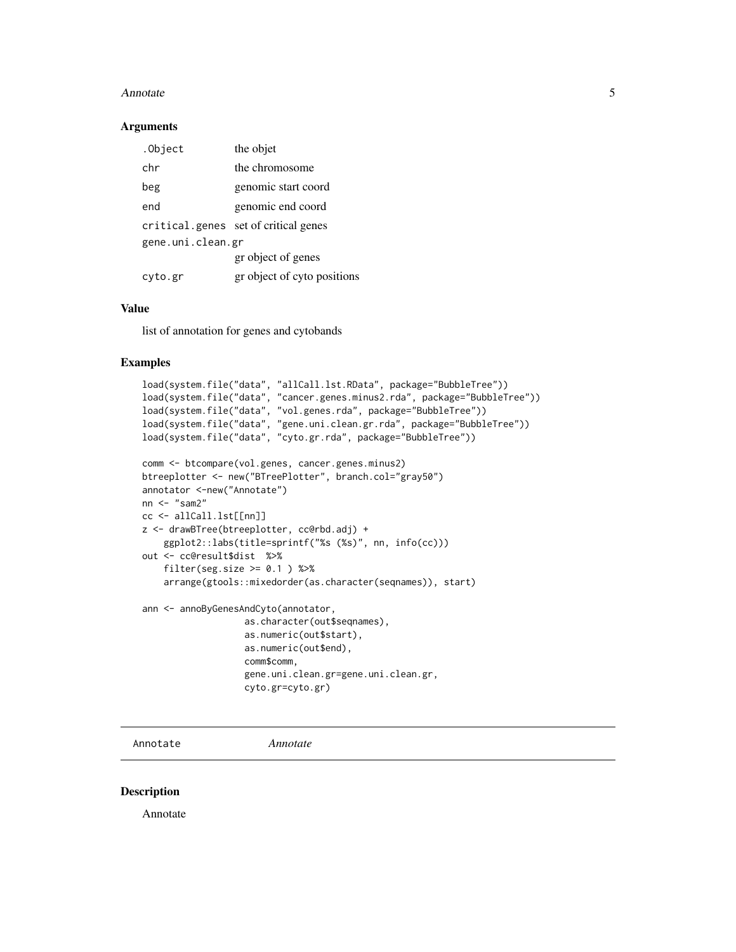#### <span id="page-4-0"></span>Annotate 5

#### Arguments

| the objet                            |
|--------------------------------------|
| the chromosome                       |
| genomic start coord                  |
| genomic end coord                    |
| critical.genes set of critical genes |
| gene.uni.clean.gr                    |
| gr object of genes                   |
| gr object of cyto positions          |
|                                      |

#### Value

list of annotation for genes and cytobands

### Examples

```
load(system.file("data", "allCall.lst.RData", package="BubbleTree"))
load(system.file("data", "cancer.genes.minus2.rda", package="BubbleTree"))
load(system.file("data", "vol.genes.rda", package="BubbleTree"))
load(system.file("data", "gene.uni.clean.gr.rda", package="BubbleTree"))
load(system.file("data", "cyto.gr.rda", package="BubbleTree"))
comm <- btcompare(vol.genes, cancer.genes.minus2)
btreeplotter <- new("BTreePlotter", branch.col="gray50")
annotator <-new("Annotate")
nn <- "sam2"
cc <- allCall.lst[[nn]]
z <- drawBTree(btreeplotter, cc@rbd.adj) +
    ggplot2::labs(title=sprintf("%s (%s)", nn, info(cc)))
out <- cc@result$dist %>%
    filter(seg.size \ge 0.1 ) %>%
    arrange(gtools::mixedorder(as.character(seqnames)), start)
ann <- annoByGenesAndCyto(annotator,
                   as.character(out$seqnames),
                   as.numeric(out$start),
                   as.numeric(out$end),
                   comm$comm,
                   gene.uni.clean.gr=gene.uni.clean.gr,
                   cyto.gr=cyto.gr)
```
Annotate *Annotate*

#### Description

Annotate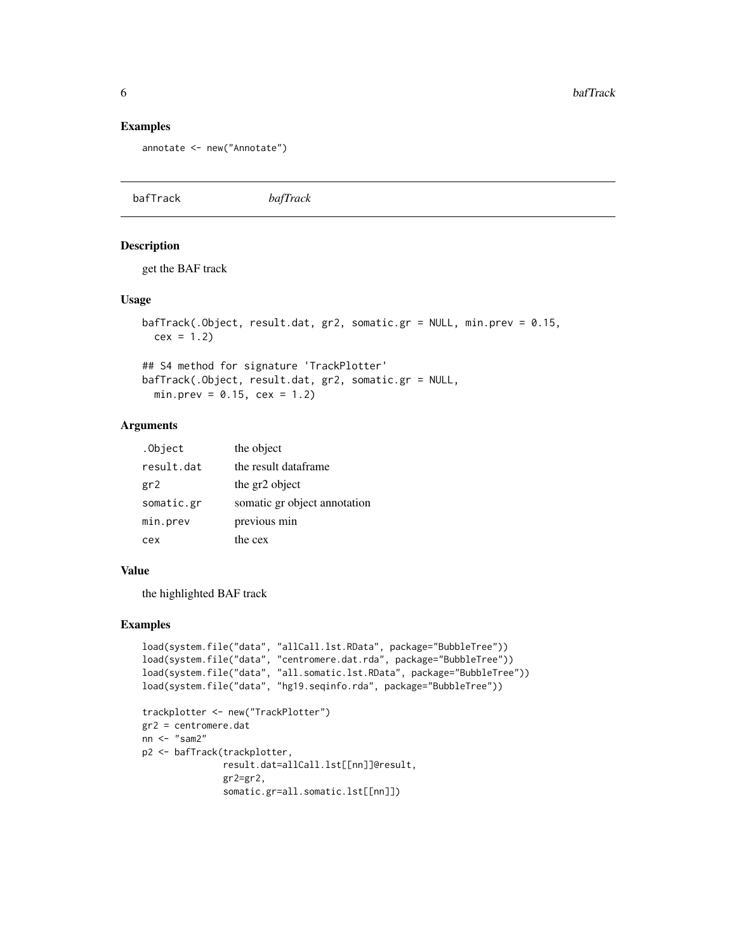#### Examples

```
annotate <- new("Annotate")
```

|  | bafTrack | bafTrack |
|--|----------|----------|
|--|----------|----------|

### Description

get the BAF track

#### Usage

```
bafTrack(.Object, result.dat, gr2, somatic.gr = NULL, min.prev = 0.15,
 cex = 1.2
```
## S4 method for signature 'TrackPlotter' bafTrack(.Object, result.dat, gr2, somatic.gr = NULL,  $min.prev = 0.15, cex = 1.2)$ 

### Arguments

| .Object    | the object                   |
|------------|------------------------------|
| result.dat | the result dataframe         |
| gr2        | the gr2 object               |
| somatic.gr | somatic gr object annotation |
| min.prev   | previous min                 |
| cex        | the cex                      |

#### Value

the highlighted BAF track

```
load(system.file("data", "allCall.lst.RData", package="BubbleTree"))
load(system.file("data", "centromere.dat.rda", package="BubbleTree"))
load(system.file("data", "all.somatic.lst.RData", package="BubbleTree"))
load(system.file("data", "hg19.seqinfo.rda", package="BubbleTree"))
trackplotter <- new("TrackPlotter")
gr2 = centromere.dat
nn <- "sam2"
p2 <- bafTrack(trackplotter,
               result.dat=allCall.lst[[nn]]@result,
               gr2=gr2,
               somatic.gr=all.somatic.lst[[nn]])
```
<span id="page-5-0"></span>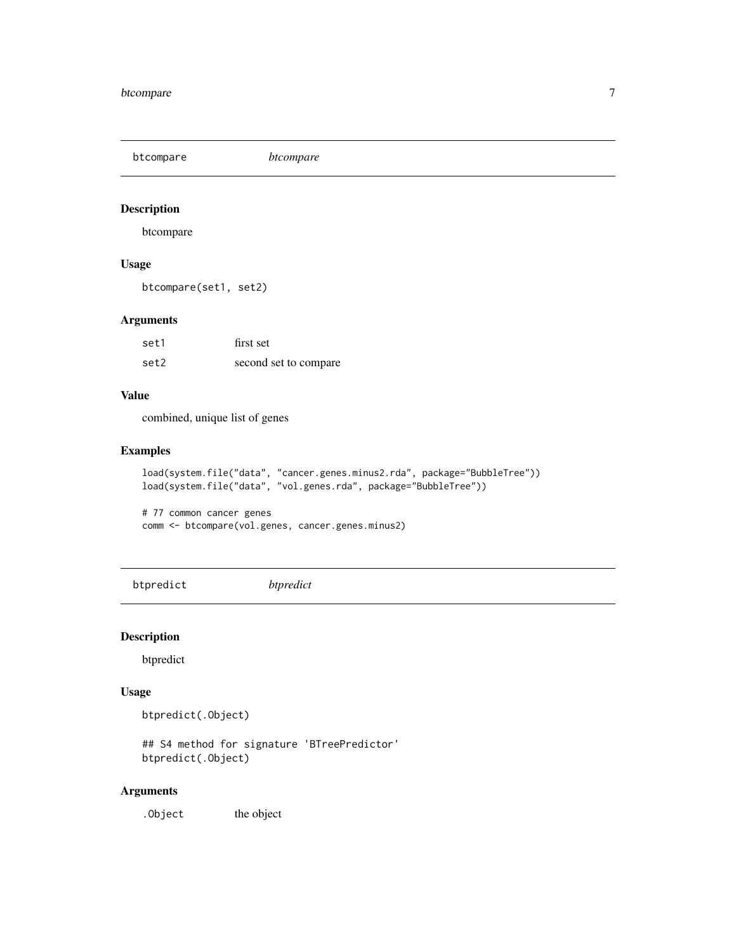<span id="page-6-0"></span>btcompare *btcompare*

### Description

btcompare

### Usage

btcompare(set1, set2)

### Arguments

| set1 | first set             |
|------|-----------------------|
| set2 | second set to compare |

### Value

combined, unique list of genes

#### Examples

```
load(system.file("data", "cancer.genes.minus2.rda", package="BubbleTree"))
load(system.file("data", "vol.genes.rda", package="BubbleTree"))
# 77 common cancer genes
```

```
comm <- btcompare(vol.genes, cancer.genes.minus2)
```
btpredict *btpredict*

### Description

btpredict

### Usage

btpredict(.Object)

## S4 method for signature 'BTreePredictor' btpredict(.Object)

### Arguments

. Object the object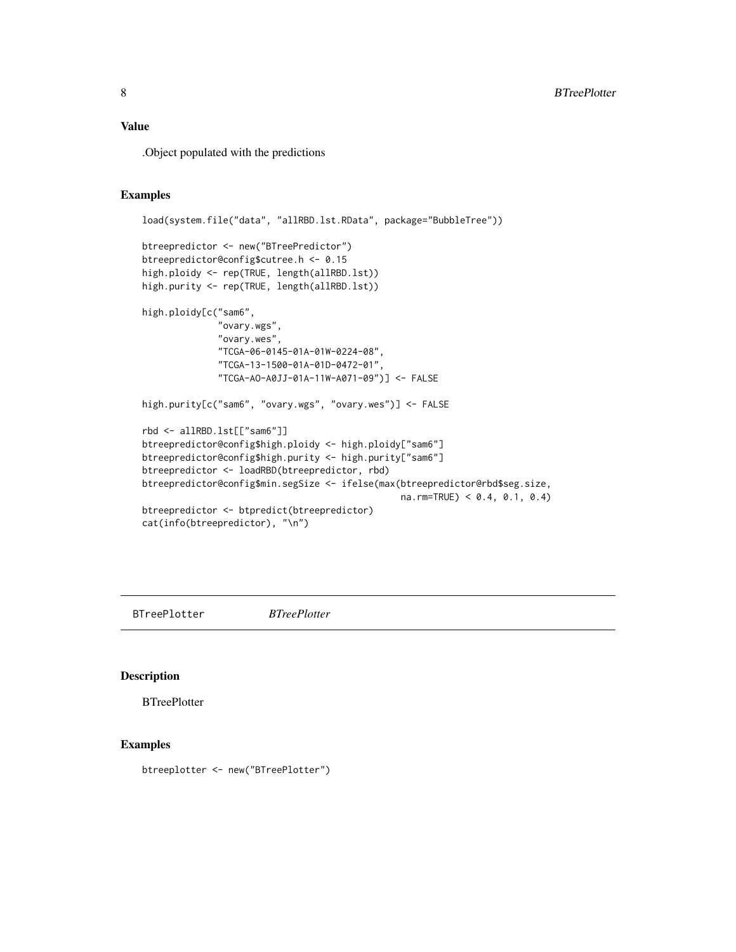### <span id="page-7-0"></span>Value

.Object populated with the predictions

### Examples

```
load(system.file("data", "allRBD.lst.RData", package="BubbleTree"))
btreepredictor <- new("BTreePredictor")
btreepredictor@config$cutree.h <- 0.15
high.ploidy <- rep(TRUE, length(allRBD.lst))
high.purity <- rep(TRUE, length(allRBD.lst))
high.ploidy[c("sam6",
              "ovary.wgs",
              "ovary.wes",
              "TCGA-06-0145-01A-01W-0224-08",
              "TCGA-13-1500-01A-01D-0472-01",
              "TCGA-AO-A0JJ-01A-11W-A071-09")] <- FALSE
high.purity[c("sam6", "ovary.wgs", "ovary.wes")] <- FALSE
rbd <- allRBD.lst[["sam6"]]
btreepredictor@config$high.ploidy <- high.ploidy["sam6"]
btreepredictor@config$high.purity <- high.purity["sam6"]
btreepredictor <- loadRBD(btreepredictor, rbd)
btreepredictor@config$min.segSize <- ifelse(max(btreepredictor@rbd$seg.size,
                                                na.rm=TRUE) < 0.4, 0.1, 0.4)
btreepredictor <- btpredict(btreepredictor)
cat(info(btreepredictor), "\n")
```
BTreePlotter *BTreePlotter*

### Description

**BTreePlotter** 

#### Examples

btreeplotter <- new("BTreePlotter")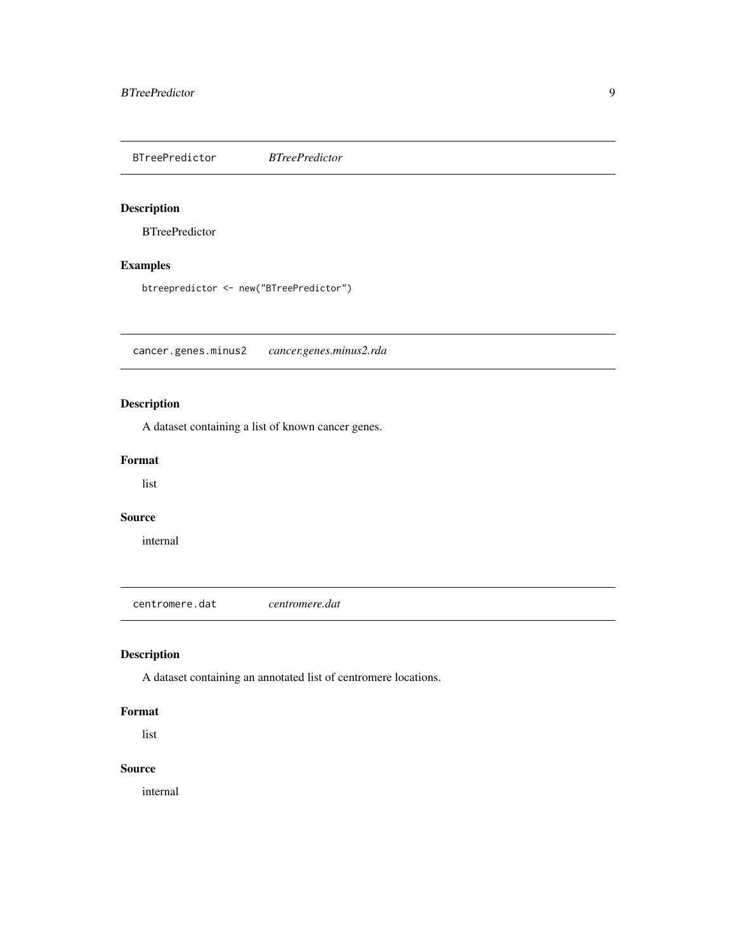<span id="page-8-0"></span>BTreePredictor *BTreePredictor*

### Description

**BTreePredictor** 

### Examples

btreepredictor <- new("BTreePredictor")

cancer.genes.minus2 *cancer.genes.minus2.rda*

### Description

A dataset containing a list of known cancer genes.

#### Format

list

#### Source

internal

centromere.dat *centromere.dat*

### Description

A dataset containing an annotated list of centromere locations.

#### Format

list

### Source

internal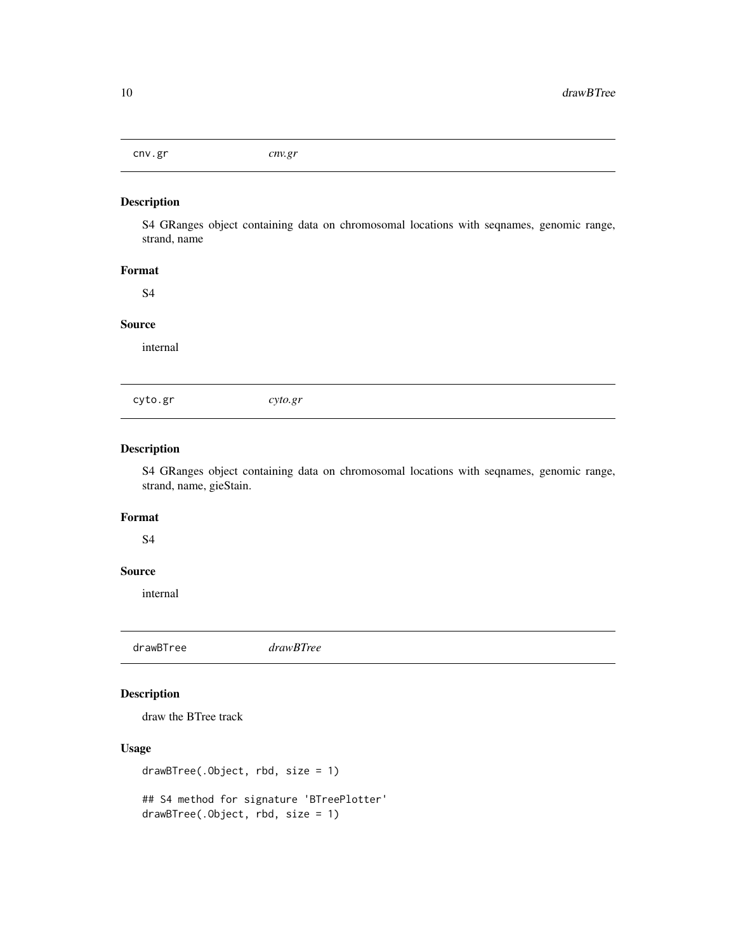<span id="page-9-0"></span>cnv.gr *cnv.gr*

#### Description

S4 GRanges object containing data on chromosomal locations with seqnames, genomic range, strand, name

### Format

S4

### Source

internal

cyto.gr *cyto.gr*

### Description

S4 GRanges object containing data on chromosomal locations with seqnames, genomic range, strand, name, gieStain.

#### Format

S4

#### Source

internal

drawBTree *drawBTree*

### Description

draw the BTree track

### Usage

drawBTree(.Object, rbd, size = 1)

## S4 method for signature 'BTreePlotter' drawBTree(.Object, rbd, size = 1)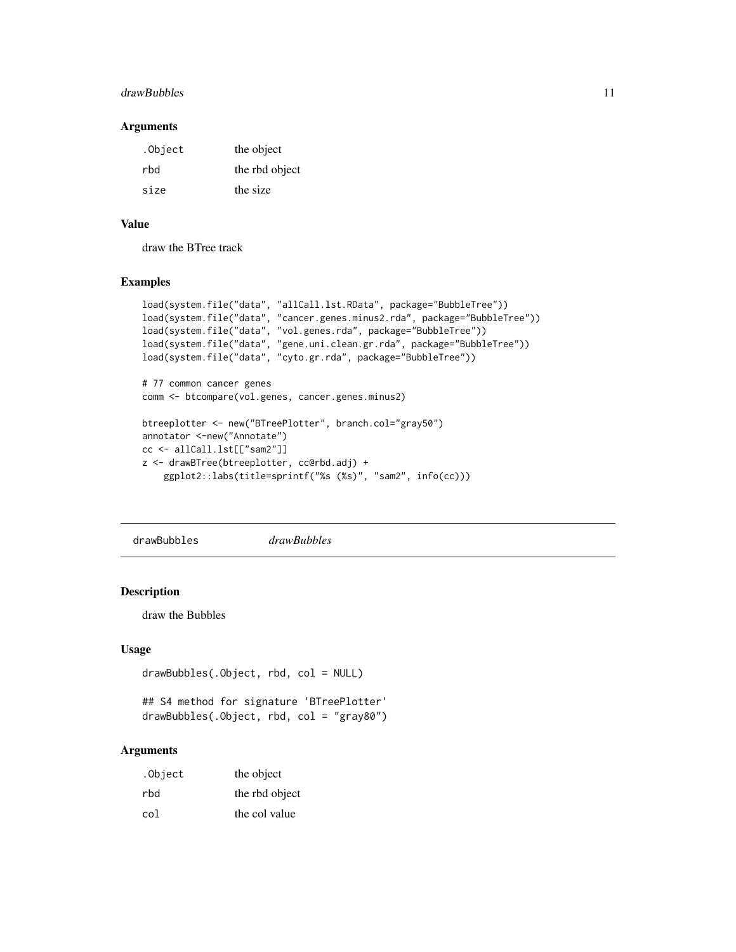#### <span id="page-10-0"></span>drawBubbles 11

#### Arguments

| .Object | the object     |
|---------|----------------|
| rbd     | the rbd object |
| size    | the size       |

### Value

draw the BTree track

#### Examples

```
load(system.file("data", "allCall.lst.RData", package="BubbleTree"))
load(system.file("data", "cancer.genes.minus2.rda", package="BubbleTree"))
load(system.file("data", "vol.genes.rda", package="BubbleTree"))
load(system.file("data", "gene.uni.clean.gr.rda", package="BubbleTree"))
load(system.file("data", "cyto.gr.rda", package="BubbleTree"))
# 77 common cancer genes
comm <- btcompare(vol.genes, cancer.genes.minus2)
btreeplotter <- new("BTreePlotter", branch.col="gray50")
annotator <-new("Annotate")
cc <- allCall.lst[["sam2"]]
z <- drawBTree(btreeplotter, cc@rbd.adj) +
    ggplot2::labs(title=sprintf("%s (%s)", "sam2", info(cc)))
```
drawBubbles *drawBubbles*

### Description

draw the Bubbles

#### Usage

```
drawBubbles(.Object, rbd, col = NULL)
```

```
## S4 method for signature 'BTreePlotter'
drawBubbles(.Object, rbd, col = "gray80")
```
#### Arguments

| .Object | the object     |
|---------|----------------|
| rbd     | the rbd object |
| col     | the col value  |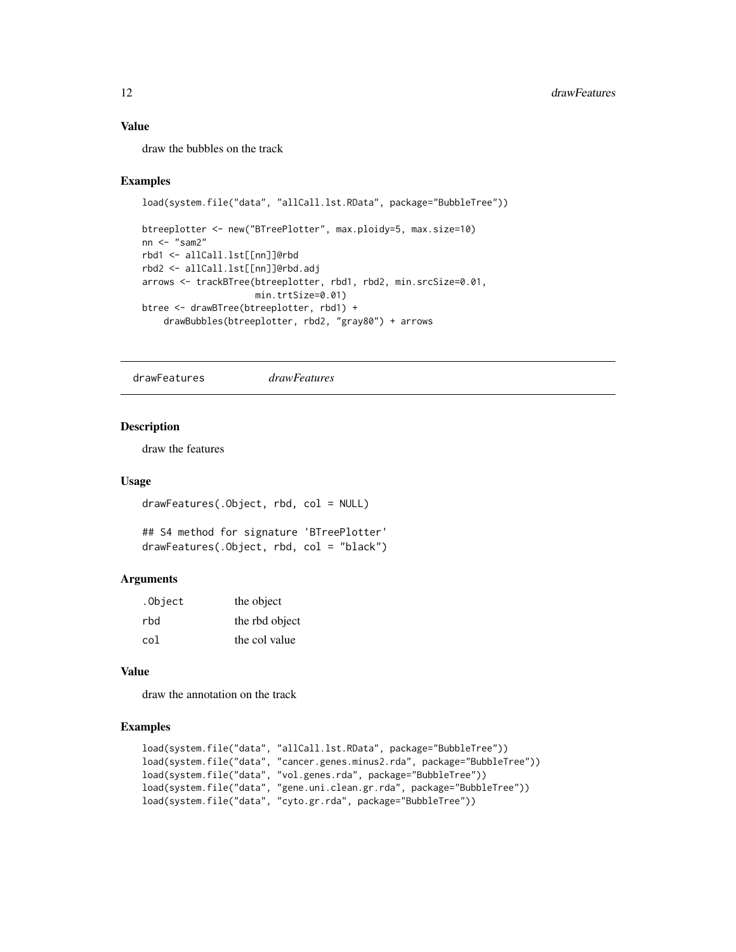### Value

draw the bubbles on the track

#### Examples

```
load(system.file("data", "allCall.lst.RData", package="BubbleTree"))
btreeplotter <- new("BTreePlotter", max.ploidy=5, max.size=10)
nn <- "sam2"
rbd1 <- allCall.lst[[nn]]@rbd
rbd2 <- allCall.lst[[nn]]@rbd.adj
arrows <- trackBTree(btreeplotter, rbd1, rbd2, min.srcSize=0.01,
                     min.trtSize=0.01)
btree <- drawBTree(btreeplotter, rbd1) +
    drawBubbles(btreeplotter, rbd2, "gray80") + arrows
```
drawFeatures *drawFeatures*

### Description

draw the features

#### Usage

drawFeatures(.Object, rbd, col = NULL)

```
## S4 method for signature 'BTreePlotter'
drawFeatures(.Object, rbd, col = "black")
```
#### Arguments

| .Object | the object     |
|---------|----------------|
| rbd     | the rbd object |
| col     | the col value  |

#### Value

draw the annotation on the track

```
load(system.file("data", "allCall.lst.RData", package="BubbleTree"))
load(system.file("data", "cancer.genes.minus2.rda", package="BubbleTree"))
load(system.file("data", "vol.genes.rda", package="BubbleTree"))
load(system.file("data", "gene.uni.clean.gr.rda", package="BubbleTree"))
load(system.file("data", "cyto.gr.rda", package="BubbleTree"))
```
<span id="page-11-0"></span>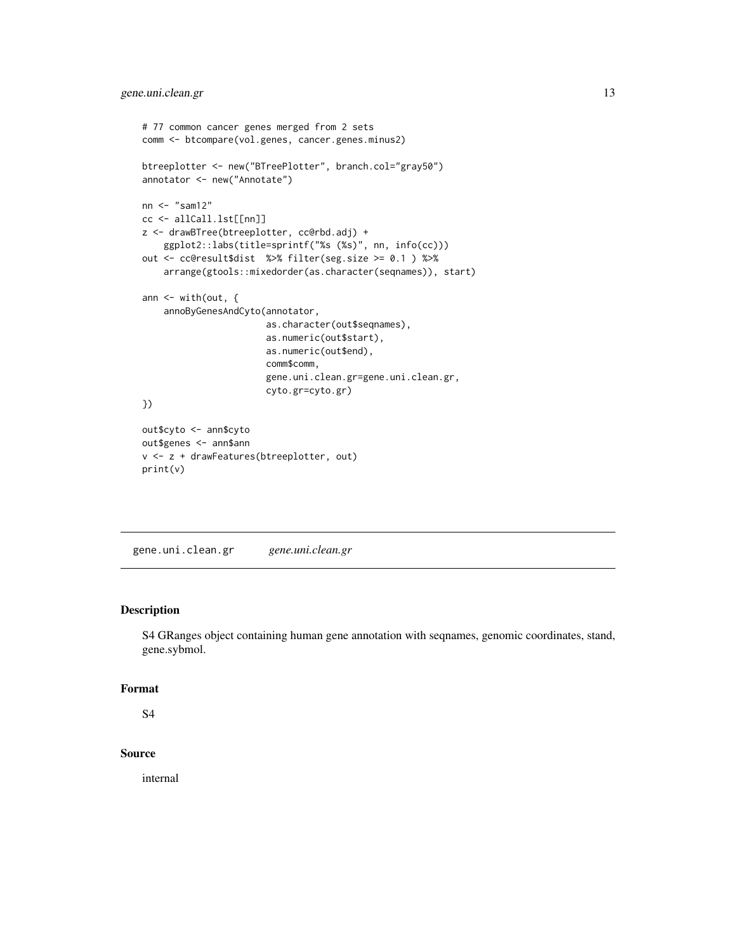```
# 77 common cancer genes merged from 2 sets
comm <- btcompare(vol.genes, cancer.genes.minus2)
btreeplotter <- new("BTreePlotter", branch.col="gray50")
annotator <- new("Annotate")
nn <- "sam12"
cc <- allCall.lst[[nn]]
z <- drawBTree(btreeplotter, cc@rbd.adj) +
    ggplot2::labs(title=sprintf("%s (%s)", nn, info(cc)))
out <- cc@result$dist %>% filter(seg.size >= 0.1 ) %>%
    arrange(gtools::mixedorder(as.character(seqnames)), start)
ann \leq with(out, {
    annoByGenesAndCyto(annotator,
                       as.character(out$seqnames),
                       as.numeric(out$start),
                       as.numeric(out$end),
                       comm$comm,
                       gene.uni.clean.gr=gene.uni.clean.gr,
                       cyto.gr=cyto.gr)
})
out$cyto <- ann$cyto
out$genes <- ann$ann
v <- z + drawFeatures(btreeplotter, out)
print(v)
```
gene.uni.clean.gr *gene.uni.clean.gr*

#### Description

S4 GRanges object containing human gene annotation with seqnames, genomic coordinates, stand, gene.sybmol.

#### Format

S4

### Source

internal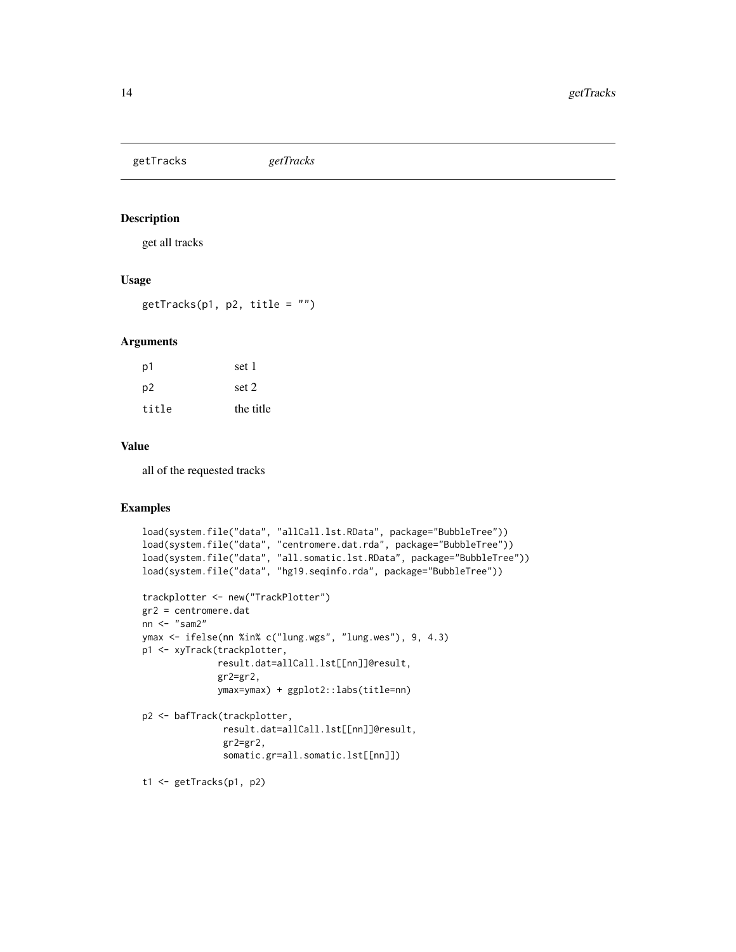<span id="page-13-0"></span>getTracks *getTracks*

### Description

get all tracks

### Usage

 $getTracks(p1, p2, title = "")$ 

#### Arguments

| .p1   | set 1     |
|-------|-----------|
| p2    | set 2     |
| title | the title |

#### Value

all of the requested tracks

```
load(system.file("data", "allCall.lst.RData", package="BubbleTree"))
load(system.file("data", "centromere.dat.rda", package="BubbleTree"))
load(system.file("data", "all.somatic.lst.RData", package="BubbleTree"))
load(system.file("data", "hg19.seqinfo.rda", package="BubbleTree"))
trackplotter <- new("TrackPlotter")
gr2 = centromere.dat
nn <- "sam2"
ymax <- ifelse(nn %in% c("lung.wgs", "lung.wes"), 9, 4.3)
p1 <- xyTrack(trackplotter,
              result.dat=allCall.lst[[nn]]@result,
              gr2=gr2,
              ymax=ymax) + ggplot2::labs(title=nn)
p2 <- bafTrack(trackplotter,
               result.dat=allCall.lst[[nn]]@result,
               gr2=gr2,
               somatic.gr=all.somatic.lst[[nn]])
t1 <- getTracks(p1, p2)
```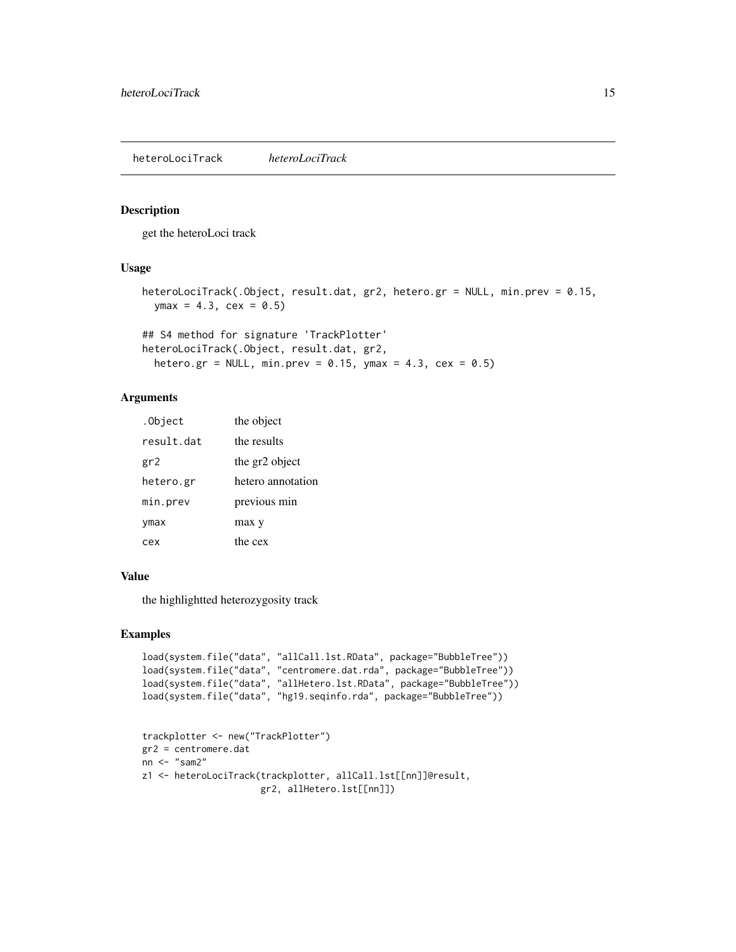#### <span id="page-14-0"></span>Description

get the heteroLoci track

### Usage

```
heteroLociTrack(.Object, result.dat, gr2, hetero.gr = NULL, min.prev = 0.15,
 ymax = 4.3, cex = 0.5)
```
## S4 method for signature 'TrackPlotter' heteroLociTrack(.Object, result.dat, gr2, hetero.gr = NULL, min.prev =  $0.15$ , ymax =  $4.3$ , cex =  $0.5$ )

### Arguments

| .Object    | the object        |
|------------|-------------------|
| result dat | the results       |
| gr2        | the gr2 object    |
| hetero.gr  | hetero annotation |
| min.prev   | previous min      |
| ymax       | max y             |
| cex        | the cex           |

#### Value

the highlightted heterozygosity track

```
load(system.file("data", "allCall.lst.RData", package="BubbleTree"))
load(system.file("data", "centromere.dat.rda", package="BubbleTree"))
load(system.file("data", "allHetero.lst.RData", package="BubbleTree"))
load(system.file("data", "hg19.seqinfo.rda", package="BubbleTree"))
```

```
trackplotter <- new("TrackPlotter")
gr2 = centromere.dat
nn <- "sam2"
z1 <- heteroLociTrack(trackplotter, allCall.lst[[nn]]@result,
                      gr2, allHetero.lst[[nn]])
```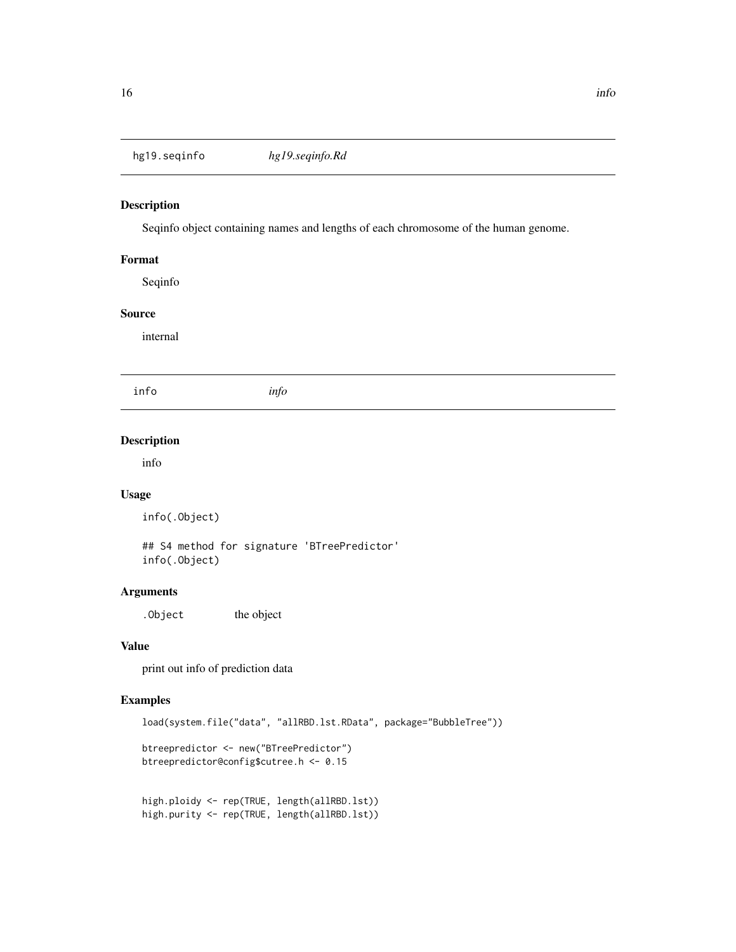<span id="page-15-0"></span>hg19.seqinfo *hg19.seqinfo.Rd*

### Description

Seqinfo object containing names and lengths of each chromosome of the human genome.

### Format

Seqinfo

### Source

internal

info *info*

#### Description

info

### Usage

info(.Object)

## S4 method for signature 'BTreePredictor' info(.Object)

### Arguments

. Object the object

#### Value

print out info of prediction data

### Examples

load(system.file("data", "allRBD.lst.RData", package="BubbleTree"))

```
btreepredictor <- new("BTreePredictor")
btreepredictor@config$cutree.h <- 0.15
```

```
high.ploidy <- rep(TRUE, length(allRBD.lst))
high.purity <- rep(TRUE, length(allRBD.lst))
```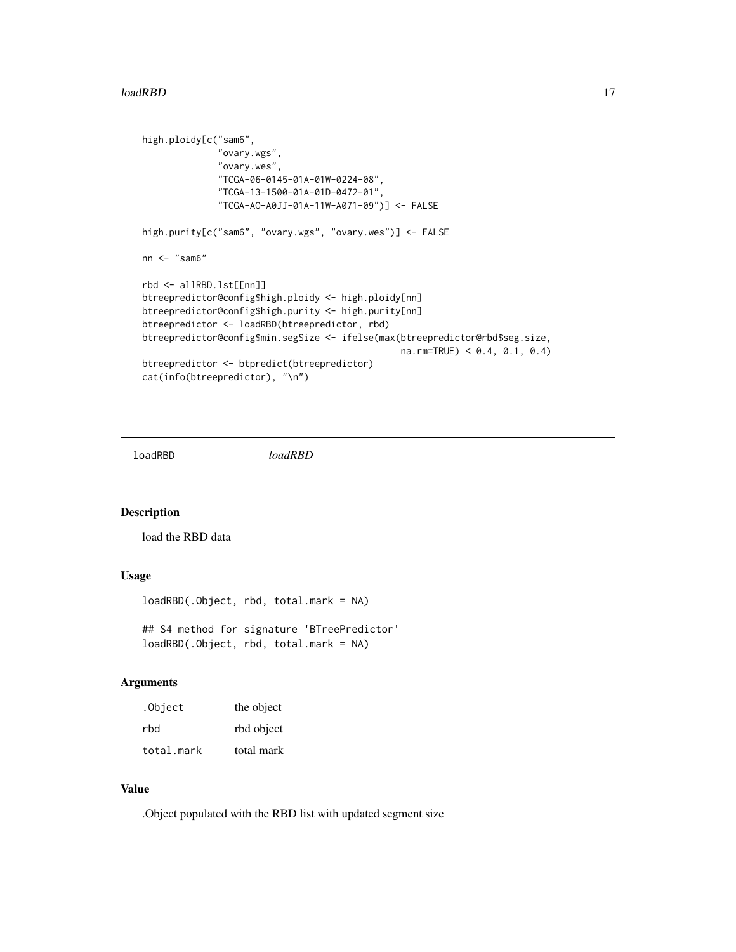#### <span id="page-16-0"></span>loadRBD 17

```
high.ploidy[c("sam6",
              "ovary.wgs",
              "ovary.wes",
              "TCGA-06-0145-01A-01W-0224-08",
              "TCGA-13-1500-01A-01D-0472-01",
              "TCGA-AO-A0JJ-01A-11W-A071-09")] <- FALSE
high.purity[c("sam6", "ovary.wgs", "ovary.wes")] <- FALSE
nn <- "sam6"
rbd <- allRBD.lst[[nn]]
btreepredictor@config$high.ploidy <- high.ploidy[nn]
btreepredictor@config$high.purity <- high.purity[nn]
btreepredictor <- loadRBD(btreepredictor, rbd)
btreepredictor@config$min.segSize <- ifelse(max(btreepredictor@rbd$seg.size,
                                                na.rm=TRUE) < 0.4, 0.1, 0.4)
btreepredictor <- btpredict(btreepredictor)
cat(info(btreepredictor), "\n")
```
loadRBD *loadRBD*

#### Description

load the RBD data

### Usage

```
loadRBD(.Object, rbd, total.mark = NA)
```

```
## S4 method for signature 'BTreePredictor'
loadRBD(.Object, rbd, total.mark = NA)
```
#### Arguments

| .Object    | the object |
|------------|------------|
| rbd        | rbd object |
| total.mark | total mark |

#### Value

.Object populated with the RBD list with updated segment size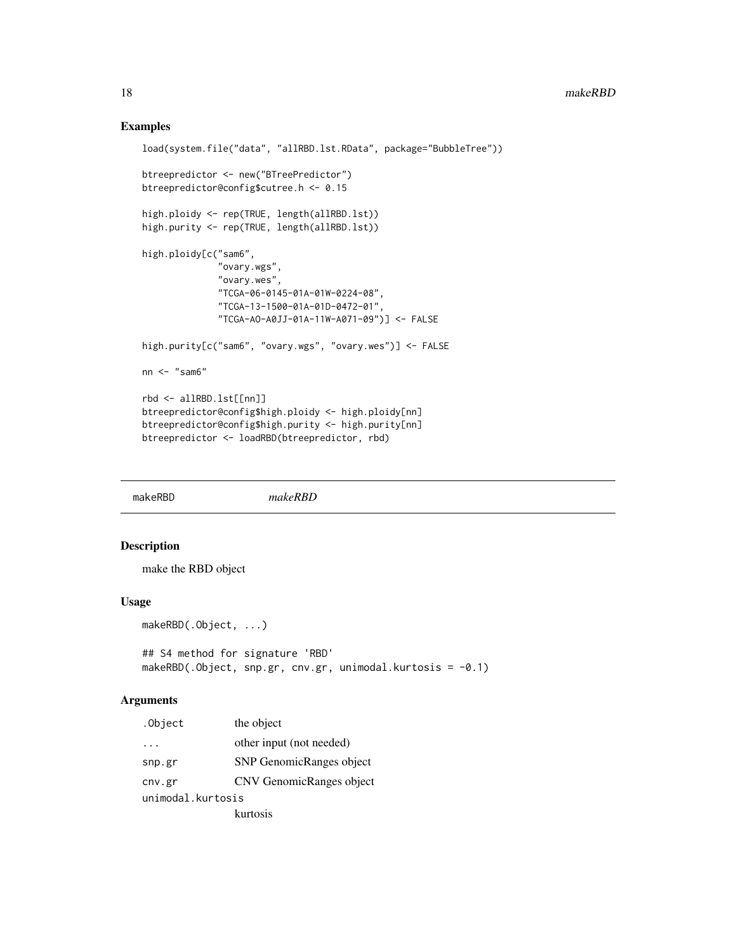### Examples

```
load(system.file("data", "allRBD.lst.RData", package="BubbleTree"))
btreepredictor <- new("BTreePredictor")
btreepredictor@config$cutree.h <- 0.15
high.ploidy <- rep(TRUE, length(allRBD.lst))
high.purity <- rep(TRUE, length(allRBD.lst))
high.ploidy[c("sam6",
              "ovary.wgs",
              "ovary.wes",
              "TCGA-06-0145-01A-01W-0224-08",
              "TCGA-13-1500-01A-01D-0472-01",
              "TCGA-AO-A0JJ-01A-11W-A071-09")] <- FALSE
high.purity[c("sam6", "ovary.wgs", "ovary.wes")] <- FALSE
nn <- "sam6"
rbd <- allRBD.lst[[nn]]
btreepredictor@config$high.ploidy <- high.ploidy[nn]
btreepredictor@config$high.purity <- high.purity[nn]
btreepredictor <- loadRBD(btreepredictor, rbd)
```
makeRBD *makeRBD*

#### Description

make the RBD object

#### Usage

```
makeRBD(.Object, ...)
```

```
## S4 method for signature 'RBD'
makeRBD(.Object, snp.gr, cnv.gr, unimodal.kurtosis = -0.1)
```
#### Arguments

| .Object           | the object                      |  |
|-------------------|---------------------------------|--|
|                   | other input (not needed)        |  |
| snp.gr            | <b>SNP</b> GenomicRanges object |  |
| cnv.gr            | CNV GenomicRanges object        |  |
| unimodal.kurtosis |                                 |  |
|                   | kurtosis                        |  |

<span id="page-17-0"></span>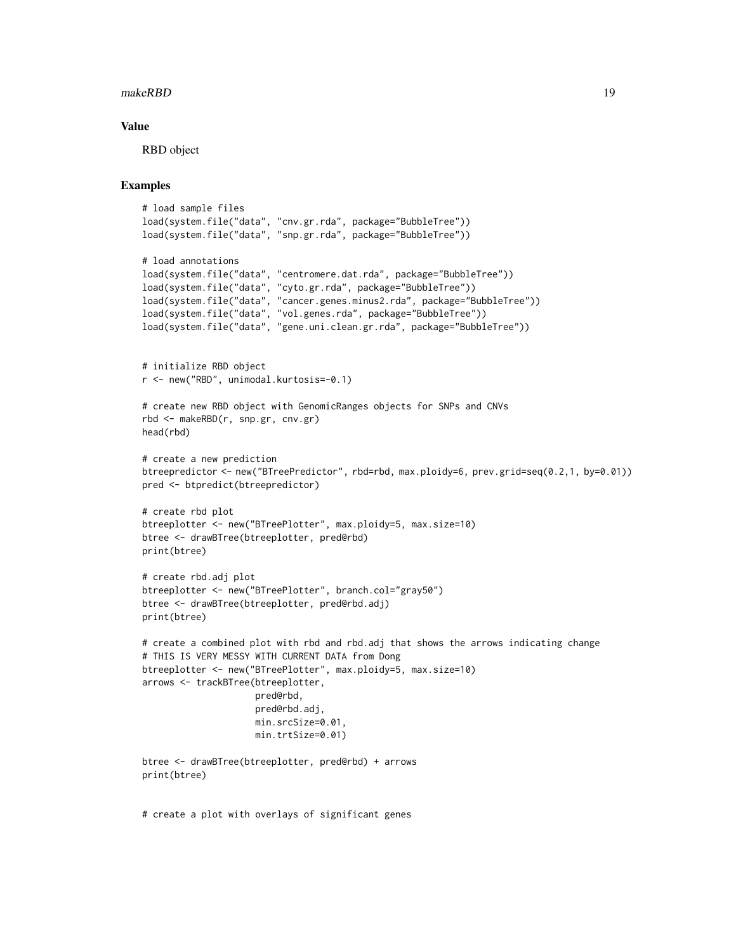#### makeRBD 19

#### Value

RBD object

### Examples

```
# load sample files
load(system.file("data", "cnv.gr.rda", package="BubbleTree"))
load(system.file("data", "snp.gr.rda", package="BubbleTree"))
# load annotations
load(system.file("data", "centromere.dat.rda", package="BubbleTree"))
load(system.file("data", "cyto.gr.rda", package="BubbleTree"))
load(system.file("data", "cancer.genes.minus2.rda", package="BubbleTree"))
load(system.file("data", "vol.genes.rda", package="BubbleTree"))
load(system.file("data", "gene.uni.clean.gr.rda", package="BubbleTree"))
# initialize RBD object
r <- new("RBD", unimodal.kurtosis=-0.1)
# create new RBD object with GenomicRanges objects for SNPs and CNVs
rbd <- makeRBD(r, snp.gr, cnv.gr)
head(rbd)
# create a new prediction
btreepredictor <- new("BTreePredictor", rbd=rbd, max.ploidy=6, prev.grid=seq(0.2,1, by=0.01))
pred <- btpredict(btreepredictor)
# create rbd plot
btreeplotter <- new("BTreePlotter", max.ploidy=5, max.size=10)
btree <- drawBTree(btreeplotter, pred@rbd)
print(btree)
# create rbd.adj plot
btreeplotter <- new("BTreePlotter", branch.col="gray50")
btree <- drawBTree(btreeplotter, pred@rbd.adj)
print(btree)
# create a combined plot with rbd and rbd.adj that shows the arrows indicating change
# THIS IS VERY MESSY WITH CURRENT DATA from Dong
btreeplotter <- new("BTreePlotter", max.ploidy=5, max.size=10)
arrows <- trackBTree(btreeplotter,
                     pred@rbd,
                     pred@rbd.adj,
                     min.srcSize=0.01,
                     min.trtSize=0.01)
btree <- drawBTree(btreeplotter, pred@rbd) + arrows
print(btree)
```
# create a plot with overlays of significant genes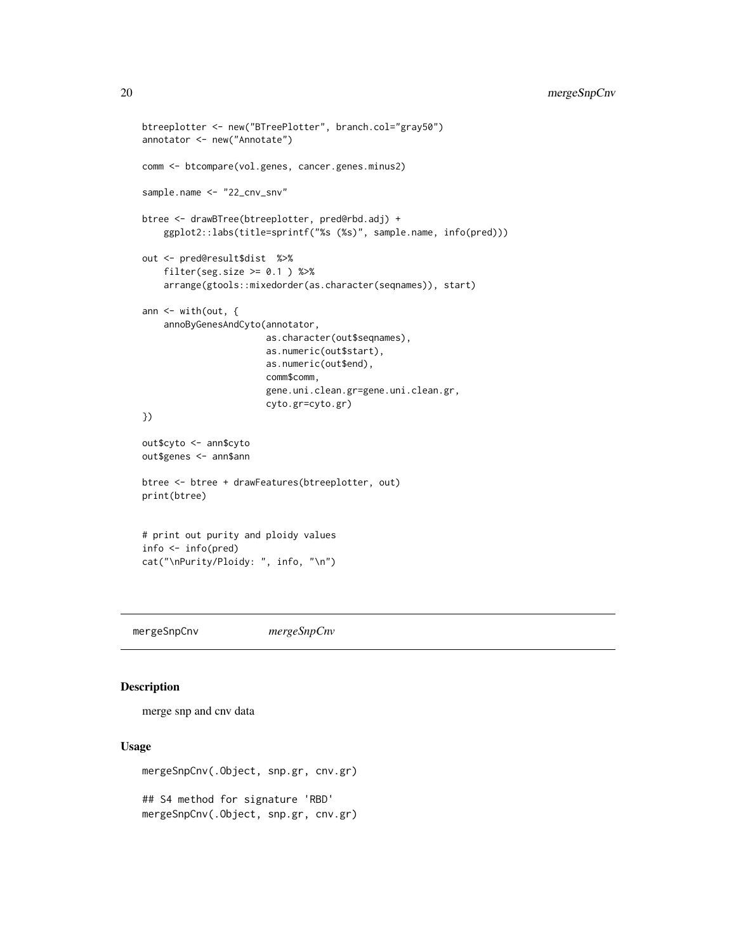```
btreeplotter <- new("BTreePlotter", branch.col="gray50")
annotator <- new("Annotate")
comm <- btcompare(vol.genes, cancer.genes.minus2)
sample.name <- "22_cnv_snv"
btree <- drawBTree(btreeplotter, pred@rbd.adj) +
   ggplot2::labs(title=sprintf("%s (%s)", sample.name, info(pred)))
out <- pred@result$dist %>%
    filter(seg.size > = 0.1) %>%
    arrange(gtools::mixedorder(as.character(seqnames)), start)
ann \leq with(out, {
    annoByGenesAndCyto(annotator,
                       as.character(out$seqnames),
                       as.numeric(out$start),
                       as.numeric(out$end),
                       comm$comm,
                       gene.uni.clean.gr=gene.uni.clean.gr,
                       cyto.gr=cyto.gr)
})
out$cyto <- ann$cyto
out$genes <- ann$ann
btree <- btree + drawFeatures(btreeplotter, out)
print(btree)
# print out purity and ploidy values
info <- info(pred)
cat("\nPurity/Ploidy: ", info, "\n")
```
mergeSnpCnv *mergeSnpCnv*

### Description

merge snp and cnv data

#### Usage

```
mergeSnpCnv(.Object, snp.gr, cnv.gr)
## S4 method for signature 'RBD'
mergeSnpCnv(.Object, snp.gr, cnv.gr)
```
<span id="page-19-0"></span>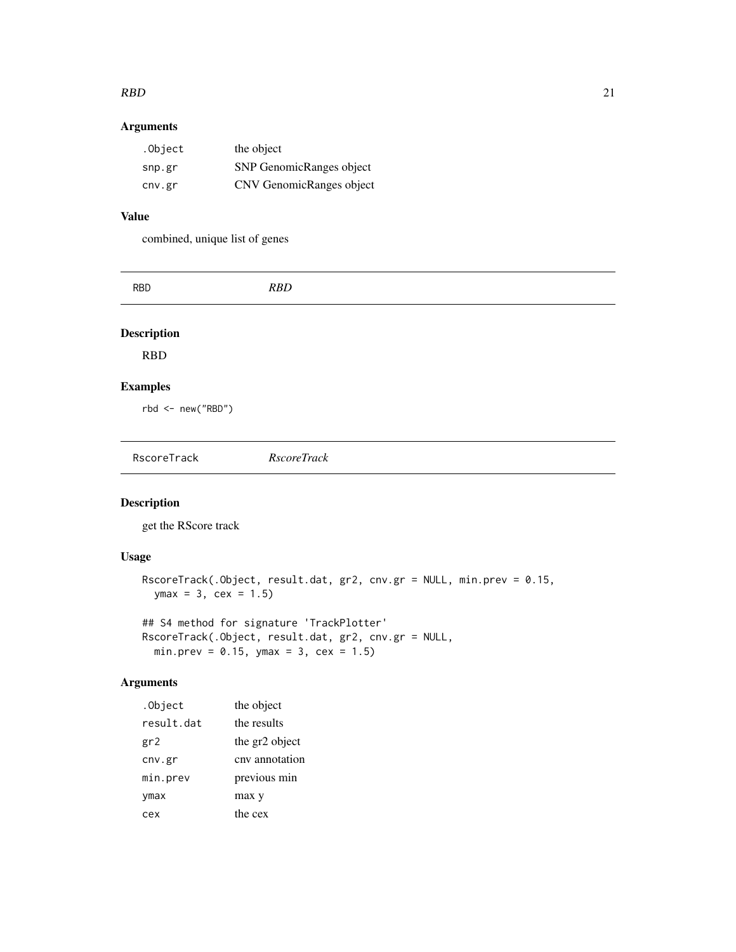#### <span id="page-20-0"></span> $RBD$  21

### Arguments

| .Object | the object               |
|---------|--------------------------|
| snp.gr  | SNP GenomicRanges object |
| cnv.gr  | CNV GenomicRanges object |

### Value

combined, unique list of genes

| <b>RBD</b>          | RBD                |  |
|---------------------|--------------------|--|
| <b>Description</b>  |                    |  |
| <b>RBD</b>          |                    |  |
| <b>Examples</b>     |                    |  |
| $rbd < -new("RBD")$ |                    |  |
|                     |                    |  |
| RscoreTrack         | <b>RscoreTrack</b> |  |

### Description

get the RScore track

### Usage

```
RscoreTrack(.Object, result.dat, gr2, cnv.gr = NULL, min.prev = 0.15,
 ymax = 3, cex = 1.5
```
## S4 method for signature 'TrackPlotter' RscoreTrack(.Object, result.dat, gr2, cnv.gr = NULL, min.prev =  $0.15$ , ymax =  $3$ , cex =  $1.5$ )

### Arguments

| .Object    | the object     |
|------------|----------------|
| result.dat | the results    |
| gr2        | the gr2 object |
| cnv.gr     | cny annotation |
| min.prev   | previous min   |
| ymax       | max y          |
| cex        | the cex        |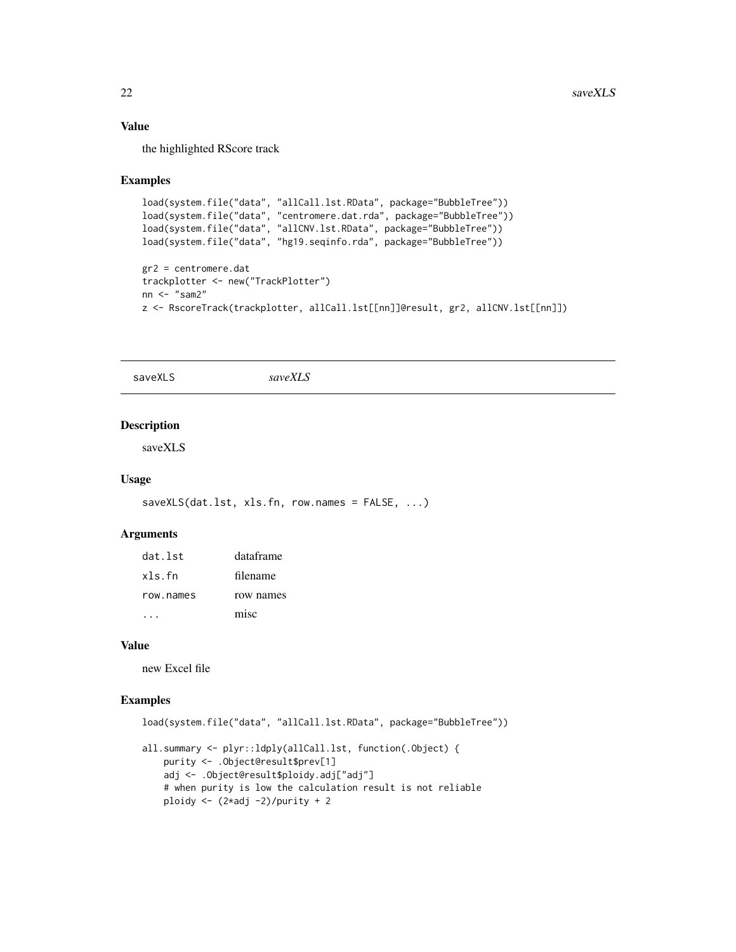### Value

the highlighted RScore track

#### Examples

```
load(system.file("data", "allCall.lst.RData", package="BubbleTree"))
load(system.file("data", "centromere.dat.rda", package="BubbleTree"))
load(system.file("data", "allCNV.lst.RData", package="BubbleTree"))
load(system.file("data", "hg19.seqinfo.rda", package="BubbleTree"))
gr2 = centromere.dat
trackplotter <- new("TrackPlotter")
nn \leq - "sam2"
z <- RscoreTrack(trackplotter, allCall.lst[[nn]]@result, gr2, allCNV.lst[[nn]])
```
saveXLS *saveXLS*

#### Description

saveXLS

#### Usage

```
saveXLS(dat.lst, xls.fn, row.names = FALSE, ...)
```
#### Arguments

| dat lst   | dataframe |
|-----------|-----------|
| xls.fn    | filename  |
| row.names | row names |
|           | misc      |

#### Value

new Excel file

```
load(system.file("data", "allCall.lst.RData", package="BubbleTree"))
all.summary <- plyr::ldply(allCall.lst, function(.Object) {
   purity <- .Object@result$prev[1]
   adj <- .Object@result$ploidy.adj["adj"]
   # when purity is low the calculation result is not reliable
   ploidy \leftarrow (2*adj -2)/purity + 2
```
<span id="page-21-0"></span>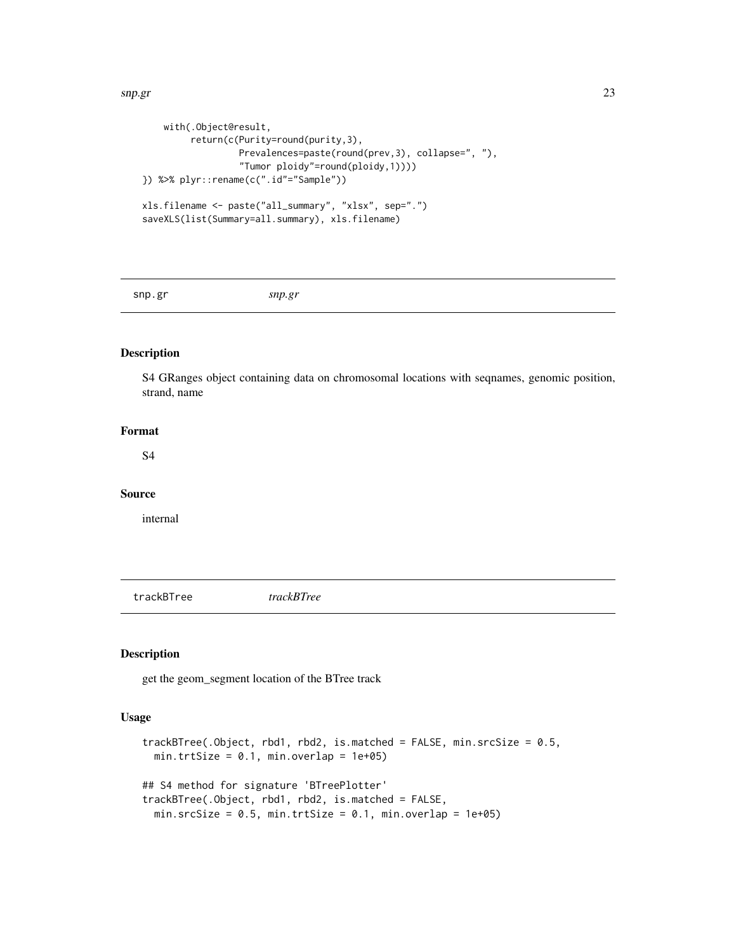```
with(.Object@result,
        return(c(Purity=round(purity,3),
                 Prevalences=paste(round(prev,3), collapse=", "),
                  "Tumor ploidy"=round(ploidy,1))))
}) %>% plyr::rename(c(".id"="Sample"))
xls.filename <- paste("all_summary", "xlsx", sep=".")
saveXLS(list(Summary=all.summary), xls.filename)
```
snp.gr *snp.gr*

### Description

S4 GRanges object containing data on chromosomal locations with seqnames, genomic position, strand, name

### Format

S4

#### Source

internal

trackBTree *trackBTree*

### Description

get the geom\_segment location of the BTree track

#### Usage

```
trackBTree(.Object, rbd1, rbd2, is.matched = FALSE, min.srcSize = 0.5,
 min.trtSize = 0.1, min.overlap = 1e+05)
## S4 method for signature 'BTreePlotter'
trackBTree(.Object, rbd1, rbd2, is.matched = FALSE,
 min.srcSize = 0.5, min.trtSize = 0.1, min.overlap = 1e+05)
```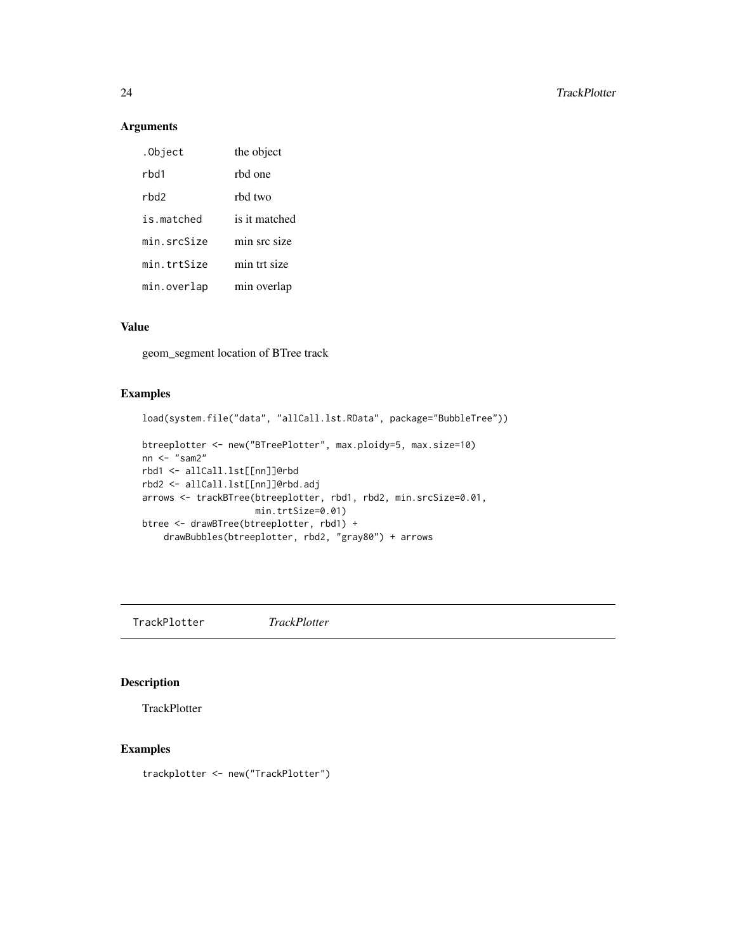### Arguments

| .Object     | the object    |
|-------------|---------------|
| rhd1        | rbd one       |
| rhd2        | rhd two       |
| is matched  | is it matched |
| min.srcSize | min src size  |
| min.trtSize | min trt size  |
| min.overlap | min overlap   |

### Value

geom\_segment location of BTree track

### Examples

```
load(system.file("data", "allCall.lst.RData", package="BubbleTree"))
btreeplotter <- new("BTreePlotter", max.ploidy=5, max.size=10)
nn <- "sam2"
rbd1 <- allCall.lst[[nn]]@rbd
rbd2 <- allCall.lst[[nn]]@rbd.adj
arrows <- trackBTree(btreeplotter, rbd1, rbd2, min.srcSize=0.01,
                    min.trtSize=0.01)
btree <- drawBTree(btreeplotter, rbd1) +
    drawBubbles(btreeplotter, rbd2, "gray80") + arrows
```
TrackPlotter *TrackPlotter*

### Description

**TrackPlotter** 

### Examples

trackplotter <- new("TrackPlotter")

<span id="page-23-0"></span>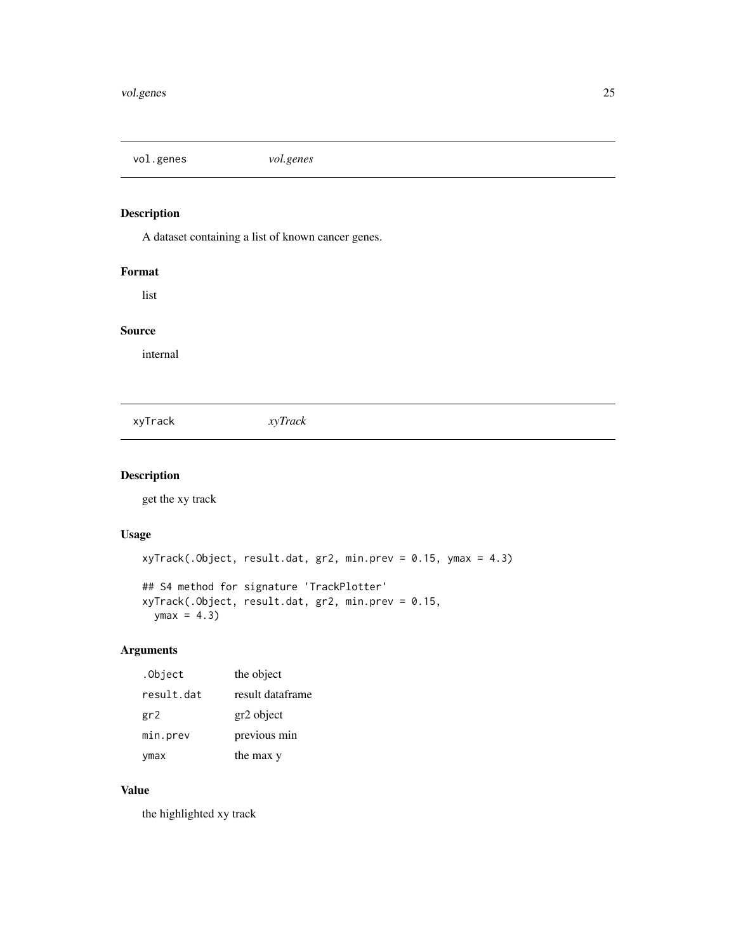<span id="page-24-0"></span>vol.genes *vol.genes*

### Description

A dataset containing a list of known cancer genes.

### Format

list

### Source

internal

xyTrack *xyTrack*

### Description

get the xy track

### Usage

```
xyTrack(.Object, result.dat, gr2, min.prev = 0.15, ymax = 4.3)
## S4 method for signature 'TrackPlotter'
xyTrack(.Object, result.dat, gr2, min.prev = 0.15,
 ymax = 4.3
```
### Arguments

| .Object    | the object       |
|------------|------------------|
| result.dat | result dataframe |
| gr2        | gr2 object       |
| min.prev   | previous min     |
| ymax       | the max y        |

### Value

the highlighted xy track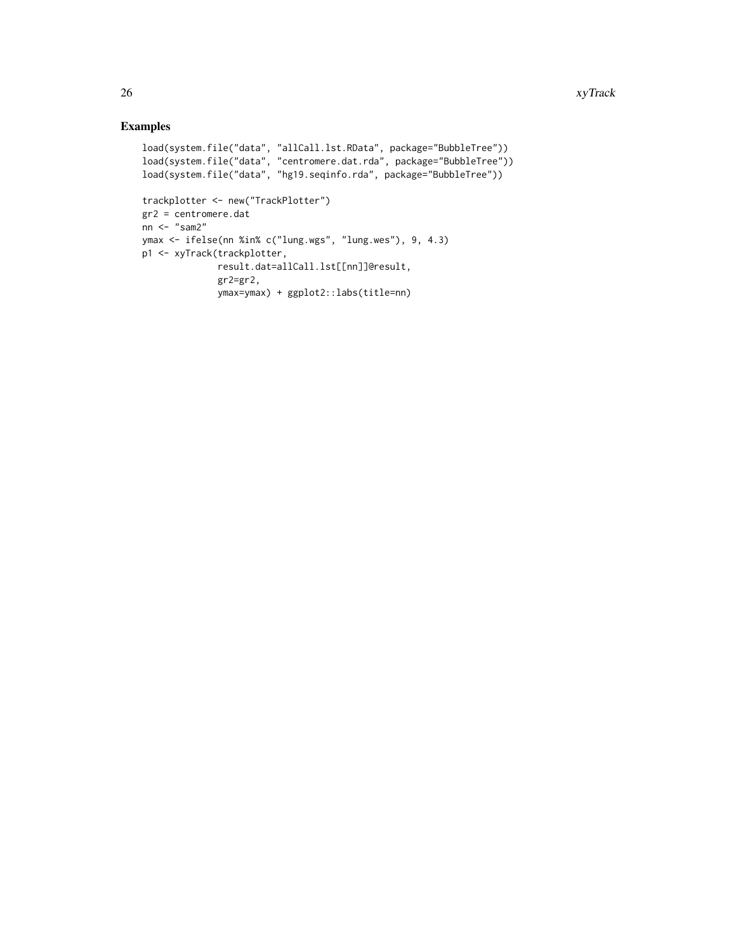```
load(system.file("data", "allCall.lst.RData", package="BubbleTree"))
load(system.file("data", "centromere.dat.rda", package="BubbleTree"))
load(system.file("data", "hg19.seqinfo.rda", package="BubbleTree"))
trackplotter <- new("TrackPlotter")
gr2 = centromere.dat
nn <- "sam2"
ymax <- ifelse(nn %in% c("lung.wgs", "lung.wes"), 9, 4.3)
p1 <- xyTrack(trackplotter,
              result.dat=allCall.lst[[nn]]@result,
             gr2=gr2,
              ymax=ymax) + ggplot2::labs(title=nn)
```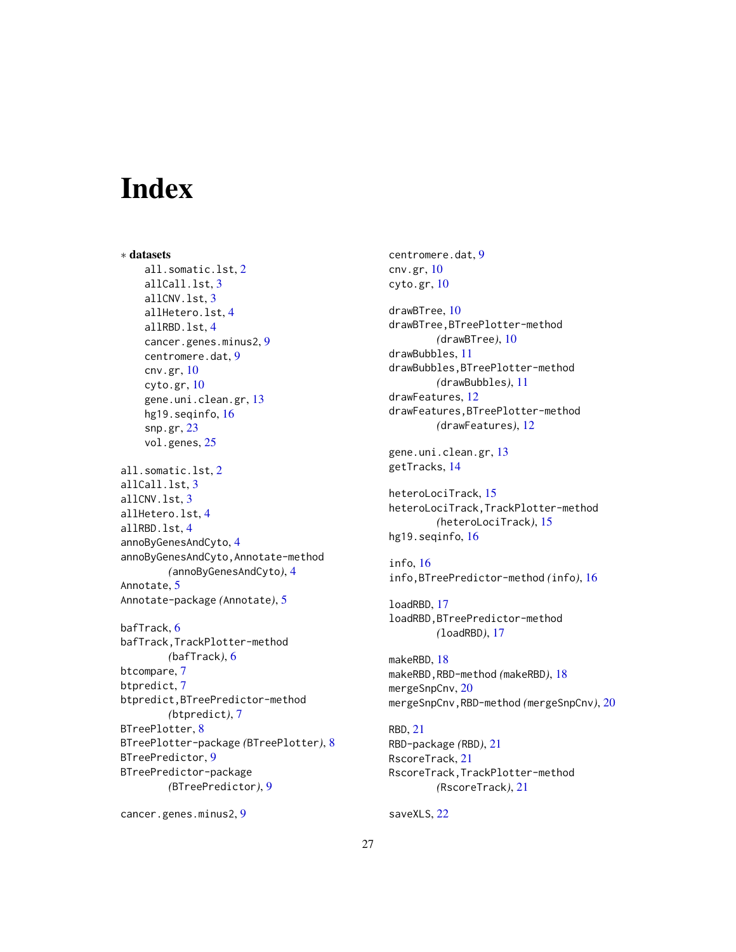# <span id="page-26-0"></span>**Index**

∗ datasets all.somatic.lst, [2](#page-1-0) allCall.lst, [3](#page-2-0) allCNV.lst, [3](#page-2-0) allHetero.lst, [4](#page-3-0) allRBD.lst, [4](#page-3-0) cancer.genes.minus2, [9](#page-8-0) centromere.dat, [9](#page-8-0) cnv.gr, [10](#page-9-0) cyto.gr, [10](#page-9-0) gene.uni.clean.gr, [13](#page-12-0) hg19.seqinfo, [16](#page-15-0) snp.gr, [23](#page-22-0) vol.genes, [25](#page-24-0) all.somatic.lst, [2](#page-1-0) allCall.lst, [3](#page-2-0) allCNV.lst, [3](#page-2-0) allHetero.lst, [4](#page-3-0) allRBD.lst, [4](#page-3-0) annoByGenesAndCyto, [4](#page-3-0) annoByGenesAndCyto,Annotate-method *(*annoByGenesAndCyto*)*, [4](#page-3-0) Annotate, [5](#page-4-0) Annotate-package *(*Annotate*)*, [5](#page-4-0) bafTrack, [6](#page-5-0) bafTrack,TrackPlotter-method *(*bafTrack*)*, [6](#page-5-0) btcompare, [7](#page-6-0) btpredict, [7](#page-6-0) btpredict,BTreePredictor-method *(*btpredict*)*, [7](#page-6-0) BTreePlotter, [8](#page-7-0) BTreePlotter-package *(*BTreePlotter*)*, [8](#page-7-0) BTreePredictor, [9](#page-8-0) BTreePredictor-package *(*BTreePredictor*)*, [9](#page-8-0)

cancer.genes.minus2, [9](#page-8-0)

centromere.dat, [9](#page-8-0) cnv.gr, [10](#page-9-0) cyto.gr, [10](#page-9-0)

drawBTree, [10](#page-9-0) drawBTree,BTreePlotter-method *(*drawBTree*)*, [10](#page-9-0) drawBubbles, [11](#page-10-0) drawBubbles,BTreePlotter-method *(*drawBubbles*)*, [11](#page-10-0) drawFeatures, [12](#page-11-0) drawFeatures,BTreePlotter-method *(*drawFeatures*)*, [12](#page-11-0)

```
gene.uni.clean.gr, 13
getTracks, 14
```
heteroLociTrack, [15](#page-14-0) heteroLociTrack,TrackPlotter-method *(*heteroLociTrack*)*, [15](#page-14-0) hg19.seqinfo, [16](#page-15-0)

info, [16](#page-15-0) info,BTreePredictor-method *(*info*)*, [16](#page-15-0)

loadRBD, [17](#page-16-0) loadRBD,BTreePredictor-method *(*loadRBD*)*, [17](#page-16-0)

makeRBD, [18](#page-17-0) makeRBD,RBD-method *(*makeRBD*)*, [18](#page-17-0) mergeSnpCnv, [20](#page-19-0) mergeSnpCnv,RBD-method *(*mergeSnpCnv*)*, [20](#page-19-0)

RBD, [21](#page-20-0) RBD-package *(*RBD*)*, [21](#page-20-0) RscoreTrack, [21](#page-20-0) RscoreTrack,TrackPlotter-method *(*RscoreTrack*)*, [21](#page-20-0)

saveXLS, [22](#page-21-0)